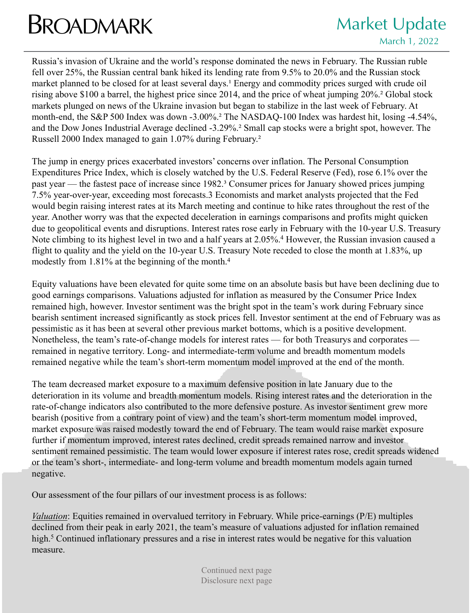## **BROADMARK** Market Update

Russia's invasion of Ukraine and the world's response dominated the news in February. The Russian ruble fell over 25%, the Russian central bank hiked its lending rate from 9.5% to 20.0% and the Russian stock market planned to be closed for at least several days.<sup>1</sup> Energy and commodity prices surged with crude oil rising above \$100 a barrel, the highest price since 2014, and the price of wheat jumping 20%.² Global stock markets plunged on news of the Ukraine invasion but began to stabilize in the last week of February. At month-end, the S&P 500 Index was down -3.00%.² The NASDAQ-100 Index was hardest hit, losing -4.54%, and the Dow Jones Industrial Average declined -3.29%.² Small cap stocks were a bright spot, however. The Russell 2000 Index managed to gain 1.07% during February.²

The jump in energy prices exacerbated investors' concerns over inflation. The Personal Consumption Expenditures Price Index, which is closely watched by the U.S. Federal Reserve (Fed), rose 6.1% over the past year — the fastest pace of increase since 1982.³ Consumer prices for January showed prices jumping 7.5% year-over-year, exceeding most forecasts.3 Economists and market analysts projected that the Fed would begin raising interest rates at its March meeting and continue to hike rates throughout the rest of the year. Another worry was that the expected deceleration in earnings comparisons and profits might quicken due to geopolitical events and disruptions. Interest rates rose early in February with the 10-year U.S. Treasury Note climbing to its highest level in two and a half years at 2.05%.<sup>4</sup> However, the Russian invasion caused a flight to quality and the yield on the 10-year U.S. Treasury Note receded to close the month at 1.83%, up modestly from 1.81% at the beginning of the month.4

Equity valuations have been elevated for quite some time on an absolute basis but have been declining due to good earnings comparisons. Valuations adjusted for inflation as measured by the Consumer Price Index remained high, however. Investor sentiment was the bright spot in the team's work during February since bearish sentiment increased significantly as stock prices fell. Investor sentiment at the end of February was as pessimistic as it has been at several other previous market bottoms, which is a positive development. Nonetheless, the team's rate-of-change models for interest rates — for both Treasurys and corporates remained in negative territory. Long- and intermediate-term volume and breadth momentum models remained negative while the team's short-term momentum model improved at the end of the month.

The team decreased market exposure to a maximum defensive position in late January due to the deterioration in its volume and breadth momentum models. Rising interest rates and the deterioration in the rate-of-change indicators also contributed to the more defensive posture. As investor sentiment grew more bearish (positive from a contrary point of view) and the team's short-term momentum model improved, market exposure was raised modestly toward the end of February. The team would raise market exposure further if momentum improved, interest rates declined, credit spreads remained narrow and investor sentiment remained pessimistic. The team would lower exposure if interest rates rose, credit spreads widened or the team's short-, intermediate- and long-term volume and breadth momentum models again turned negative.

Our assessment of the four pillars of our investment process is as follows:

*Valuation*: Equities remained in overvalued territory in February. While price-earnings (P/E) multiples declined from their peak in early 2021, the team's measure of valuations adjusted for inflation remained high.<sup>5</sup> Continued inflationary pressures and a rise in interest rates would be negative for this valuation measure.

> Continued next page Disclosure next page